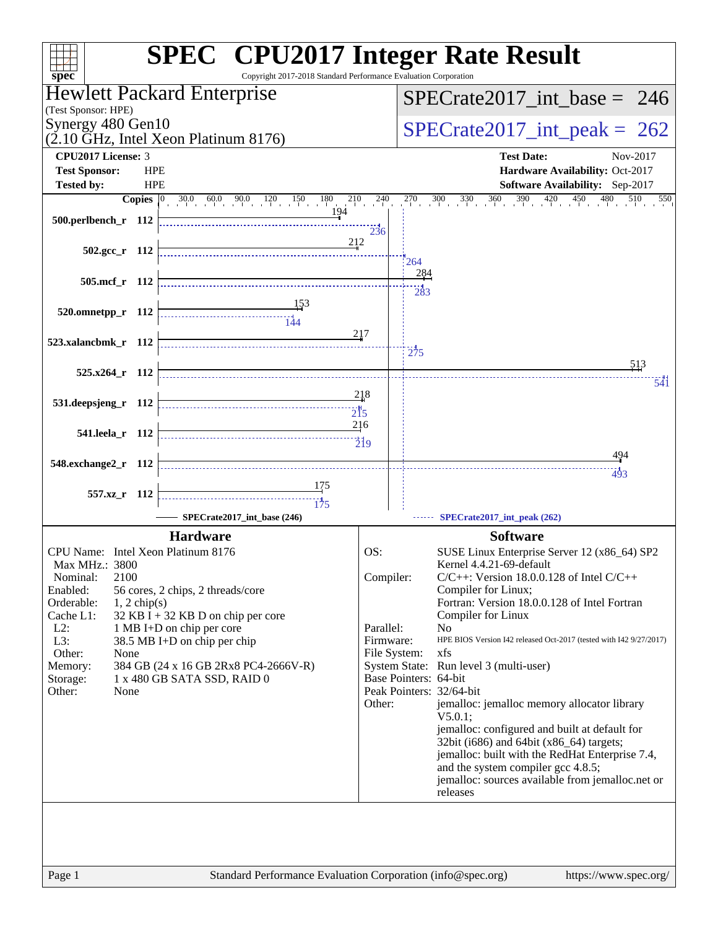| $spec^*$                                  | <b>SPEC<sup>®</sup></b> CPU2017 Integer Rate Result<br>Copyright 2017-2018 Standard Performance Evaluation Corporation |                                 |                                 |                                                                                                                                                                        |  |  |
|-------------------------------------------|------------------------------------------------------------------------------------------------------------------------|---------------------------------|---------------------------------|------------------------------------------------------------------------------------------------------------------------------------------------------------------------|--|--|
| (Test Sponsor: HPE)                       | <b>Hewlett Packard Enterprise</b>                                                                                      | $SPECrate2017\_int\_base = 246$ |                                 |                                                                                                                                                                        |  |  |
| Synergy 480 Gen10                         | $(2.10 \text{ GHz}, \text{Intel Xeon Platinum } 8176)$                                                                 |                                 | $SPECrate2017\_int\_peak = 262$ |                                                                                                                                                                        |  |  |
| <b>CPU2017 License: 3</b>                 |                                                                                                                        |                                 |                                 | <b>Test Date:</b><br>Nov-2017                                                                                                                                          |  |  |
| <b>Test Sponsor:</b><br><b>HPE</b>        |                                                                                                                        |                                 |                                 | Hardware Availability: Oct-2017                                                                                                                                        |  |  |
| <b>Tested by:</b><br><b>HPE</b>           |                                                                                                                        |                                 |                                 | Software Availability: Sep-2017                                                                                                                                        |  |  |
| Copies $ 0\rangle$<br>500.perlbench_r 112 | $30.0$ 60.0 90.0 120 150 180<br>194                                                                                    | $210$ $240$<br>236              |                                 | $\frac{270}{1}$ , $\frac{300}{1}$ , $\frac{330}{1}$ , $\frac{360}{1}$ , $\frac{390}{1}$ , $\frac{420}{1}$ , $\frac{450}{1}$ , $\frac{480}{1}$ , $\frac{510}{1}$<br>550 |  |  |
| $502.\text{gcc}_r$ 112                    | 212                                                                                                                    |                                 |                                 | 264                                                                                                                                                                    |  |  |
| 505.mcf r 112                             |                                                                                                                        |                                 |                                 | 284                                                                                                                                                                    |  |  |
|                                           |                                                                                                                        |                                 |                                 | $\frac{1}{283}$                                                                                                                                                        |  |  |
| 520.omnetpp_r 112                         |                                                                                                                        |                                 |                                 |                                                                                                                                                                        |  |  |
|                                           |                                                                                                                        | 217                             |                                 |                                                                                                                                                                        |  |  |
| 523.xalancbmk_r 112                       |                                                                                                                        |                                 |                                 | 275                                                                                                                                                                    |  |  |
| $525.x264$ r 112                          |                                                                                                                        |                                 |                                 | 513                                                                                                                                                                    |  |  |
|                                           |                                                                                                                        |                                 |                                 | 541                                                                                                                                                                    |  |  |
| 531.deepsjeng_r 112                       |                                                                                                                        | 218                             |                                 |                                                                                                                                                                        |  |  |
|                                           |                                                                                                                        | 216                             |                                 |                                                                                                                                                                        |  |  |
| 541.leela_r 112                           |                                                                                                                        | $\overline{219}$                |                                 |                                                                                                                                                                        |  |  |
| 548.exchange2_r 112                       |                                                                                                                        |                                 |                                 | 494                                                                                                                                                                    |  |  |
|                                           |                                                                                                                        |                                 |                                 | 493                                                                                                                                                                    |  |  |
| 557.xz_r 112                              | 175                                                                                                                    |                                 |                                 |                                                                                                                                                                        |  |  |
|                                           | SPECrate2017 int base (246)                                                                                            |                                 |                                 | SPECrate2017_int_peak (262)                                                                                                                                            |  |  |
|                                           | <b>Hardware</b>                                                                                                        |                                 |                                 | <b>Software</b>                                                                                                                                                        |  |  |
| CPU Name: Intel Xeon Platinum 8176        |                                                                                                                        | OS:                             |                                 | SUSE Linux Enterprise Server 12 (x86_64) SP2                                                                                                                           |  |  |
| Max MHz.: 3800                            |                                                                                                                        |                                 |                                 | Kernel 4.4.21-69-default                                                                                                                                               |  |  |
| 2100<br>Nominal:<br>Enabled:              |                                                                                                                        | Compiler:                       |                                 | $C/C++$ : Version 18.0.0.128 of Intel $C/C++$<br>Compiler for Linux;                                                                                                   |  |  |
| Orderable:<br>$1, 2$ chip(s)              | 56 cores, 2 chips, 2 threads/core                                                                                      |                                 |                                 | Fortran: Version 18.0.0.128 of Intel Fortran                                                                                                                           |  |  |
| Cache L1:                                 | $32$ KB I + 32 KB D on chip per core                                                                                   |                                 |                                 | Compiler for Linux                                                                                                                                                     |  |  |
| $L2$ :                                    | 1 MB I+D on chip per core                                                                                              | Parallel:                       |                                 | N <sub>0</sub><br>HPE BIOS Version I42 released Oct-2017 (tested with I42 9/27/2017)                                                                                   |  |  |
| L3:<br>Other:<br>None                     | 38.5 MB I+D on chip per chip                                                                                           | Firmware:<br>File System:       |                                 | xfs                                                                                                                                                                    |  |  |
| Memory:                                   | 384 GB (24 x 16 GB 2Rx8 PC4-2666V-R)                                                                                   |                                 |                                 | System State: Run level 3 (multi-user)                                                                                                                                 |  |  |
| Storage:                                  | 1 x 480 GB SATA SSD, RAID 0                                                                                            |                                 |                                 | Base Pointers: 64-bit                                                                                                                                                  |  |  |
| Other:<br>None                            |                                                                                                                        | Other:                          |                                 | Peak Pointers: 32/64-bit<br>jemalloc: jemalloc memory allocator library                                                                                                |  |  |
|                                           |                                                                                                                        |                                 |                                 | V5.0.1                                                                                                                                                                 |  |  |
|                                           |                                                                                                                        |                                 |                                 | jemalloc: configured and built at default for<br>32bit (i686) and 64bit (x86_64) targets;                                                                              |  |  |
|                                           |                                                                                                                        |                                 |                                 | jemalloc: built with the RedHat Enterprise 7.4,                                                                                                                        |  |  |
|                                           |                                                                                                                        |                                 |                                 | and the system compiler gcc 4.8.5;                                                                                                                                     |  |  |
|                                           |                                                                                                                        |                                 |                                 | jemalloc: sources available from jemalloc.net or                                                                                                                       |  |  |
|                                           |                                                                                                                        |                                 |                                 | releases                                                                                                                                                               |  |  |
|                                           |                                                                                                                        |                                 |                                 |                                                                                                                                                                        |  |  |
|                                           |                                                                                                                        |                                 |                                 |                                                                                                                                                                        |  |  |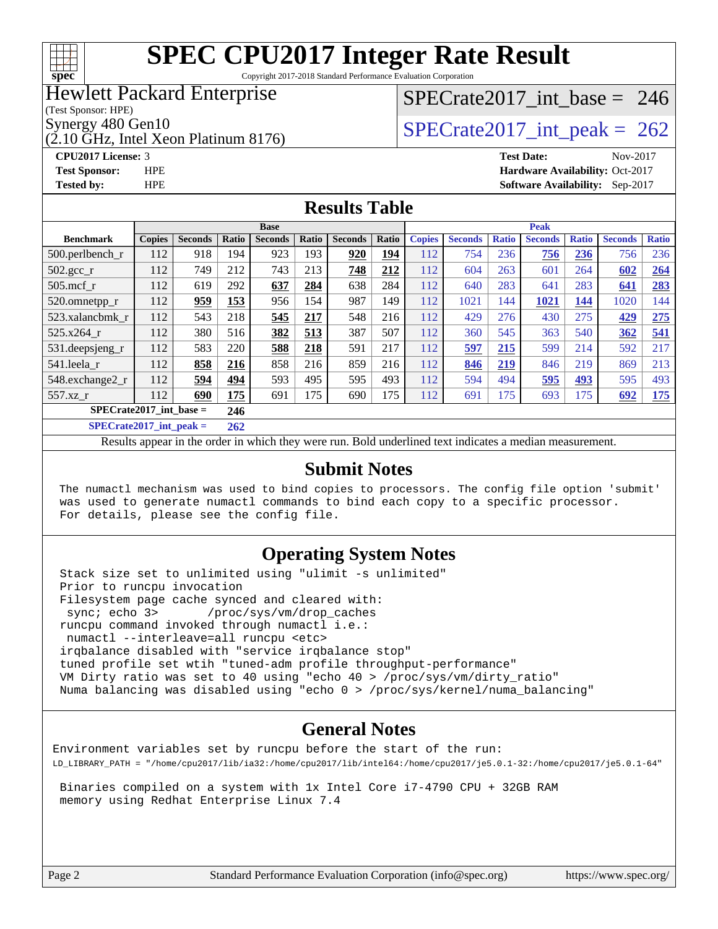

Copyright 2017-2018 Standard Performance Evaluation Corporation

### Hewlett Packard Enterprise

(Test Sponsor: HPE)

(2.10 GHz, Intel Xeon Platinum 8176)

## [SPECrate2017\\_int\\_base =](http://www.spec.org/auto/cpu2017/Docs/result-fields.html#SPECrate2017intbase) 246

Synergy 480 Gen10<br>  $SPECTate2017$ \_int\_peak = 262

**[CPU2017 License:](http://www.spec.org/auto/cpu2017/Docs/result-fields.html#CPU2017License)** 3 **[Test Date:](http://www.spec.org/auto/cpu2017/Docs/result-fields.html#TestDate)** Nov-2017 **[Test Sponsor:](http://www.spec.org/auto/cpu2017/Docs/result-fields.html#TestSponsor)** HPE **[Hardware Availability:](http://www.spec.org/auto/cpu2017/Docs/result-fields.html#HardwareAvailability)** Oct-2017 **[Tested by:](http://www.spec.org/auto/cpu2017/Docs/result-fields.html#Testedby)** HPE **[Software Availability:](http://www.spec.org/auto/cpu2017/Docs/result-fields.html#SoftwareAvailability)** Sep-2017

#### **[Results Table](http://www.spec.org/auto/cpu2017/Docs/result-fields.html#ResultsTable)**

|                                  | <b>Base</b>   |                |       |                |       | <b>Peak</b>    |       |               |                |              |                |              |                |              |
|----------------------------------|---------------|----------------|-------|----------------|-------|----------------|-------|---------------|----------------|--------------|----------------|--------------|----------------|--------------|
| <b>Benchmark</b>                 | <b>Copies</b> | <b>Seconds</b> | Ratio | <b>Seconds</b> | Ratio | <b>Seconds</b> | Ratio | <b>Copies</b> | <b>Seconds</b> | <b>Ratio</b> | <b>Seconds</b> | <b>Ratio</b> | <b>Seconds</b> | <b>Ratio</b> |
| $500.$ perlbench r               | 112           | 918            | 194   | 923            | 193   | 920            | 194   | 112           | 754            | 236          | 756            | 236          | 756            | 236          |
| $502.\text{gcc}$ _r              | 112           | 749            | 212   | 743            | 213   | 748            | 212   | 112           | 604            | 263          | 601            | 264          | 602            | 264          |
| $505$ .mcf r                     | 112           | 619            | 292   | 637            | 284   | 638            | 284   | 112           | 640            | 283          | 641            | 283          | 641            | 283          |
| 520.omnetpp_r                    | 112           | 959            | 153   | 956            | 154   | 987            | 149   | 112           | 1021           | 144          | 1021           | 144          | 1020           | 144          |
| 523.xalancbmk r                  | 112           | 543            | 218   | 545            | 217   | 548            | 216   | 112           | 429            | 276          | 430            | 275          | 429            | 275          |
| 525.x264 r                       | 112           | 380            | 516   | 382            | 513   | 387            | 507   | 112           | 360            | 545          | 363            | 540          | 362            | 541          |
| 531.deepsjeng_r                  | 112           | 583            | 220   | 588            | 218   | 591            | 217   | 112           | 597            | 215          | 599            | 214          | 592            | 217          |
| 541.leela r                      | 112           | 858            | 216   | 858            | 216   | 859            | 216   | 112           | 846            | 219          | 846            | 219          | 869            | 213          |
| 548.exchange2_r                  | 112           | 594            | 494   | 593            | 495   | 595            | 493   | 112           | 594            | 494          | 595            | 493          | 595            | 493          |
| 557.xz r                         | 112           | 690            | 175   | 691            | 175   | 690            | 175   | 112           | 691            | 175          | 693            | 175          | 692            | <u>175</u>   |
| $SPECrate2017$ int base =<br>246 |               |                |       |                |       |                |       |               |                |              |                |              |                |              |
| $SPECrate2017\_int\_peak =$      |               |                |       |                |       |                |       |               |                |              |                |              |                |              |

Results appear in the [order in which they were run](http://www.spec.org/auto/cpu2017/Docs/result-fields.html#RunOrder). Bold underlined text [indicates a median measurement](http://www.spec.org/auto/cpu2017/Docs/result-fields.html#Median).

#### **[Submit Notes](http://www.spec.org/auto/cpu2017/Docs/result-fields.html#SubmitNotes)**

 The numactl mechanism was used to bind copies to processors. The config file option 'submit' was used to generate numactl commands to bind each copy to a specific processor. For details, please see the config file.

#### **[Operating System Notes](http://www.spec.org/auto/cpu2017/Docs/result-fields.html#OperatingSystemNotes)**

 Stack size set to unlimited using "ulimit -s unlimited" Prior to runcpu invocation Filesystem page cache synced and cleared with: sync; echo 3> /proc/sys/vm/drop\_caches runcpu command invoked through numactl i.e.: numactl --interleave=all runcpu <etc> irqbalance disabled with "service irqbalance stop" tuned profile set wtih "tuned-adm profile throughput-performance" VM Dirty ratio was set to 40 using "echo 40 > /proc/sys/vm/dirty\_ratio" Numa balancing was disabled using "echo 0 > /proc/sys/kernel/numa\_balancing"

#### **[General Notes](http://www.spec.org/auto/cpu2017/Docs/result-fields.html#GeneralNotes)**

Environment variables set by runcpu before the start of the run: LD\_LIBRARY\_PATH = "/home/cpu2017/lib/ia32:/home/cpu2017/lib/intel64:/home/cpu2017/je5.0.1-32:/home/cpu2017/je5.0.1-64"

 Binaries compiled on a system with 1x Intel Core i7-4790 CPU + 32GB RAM memory using Redhat Enterprise Linux 7.4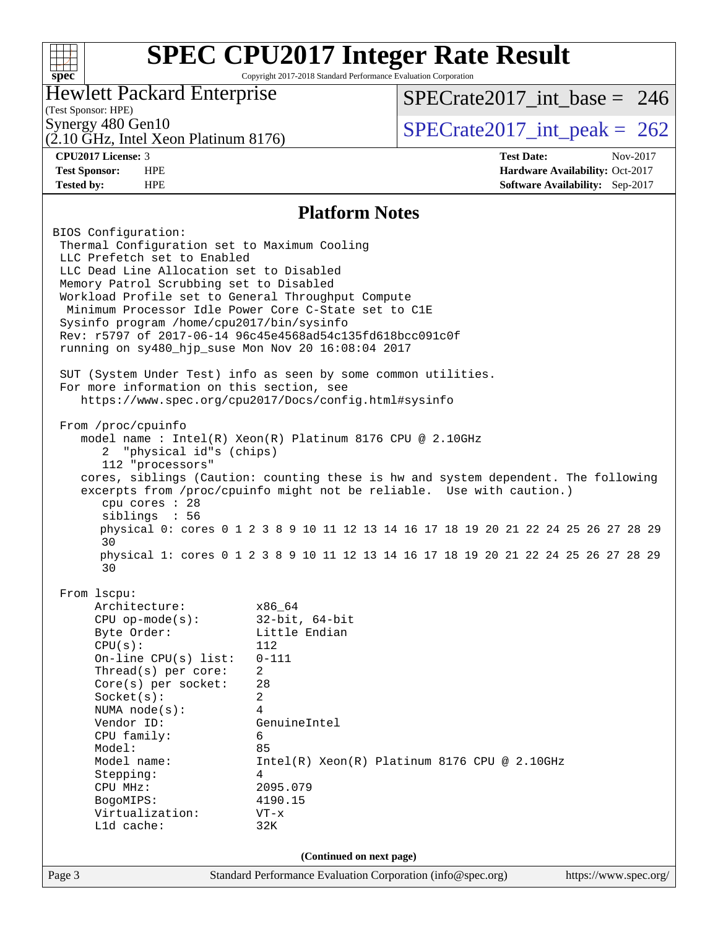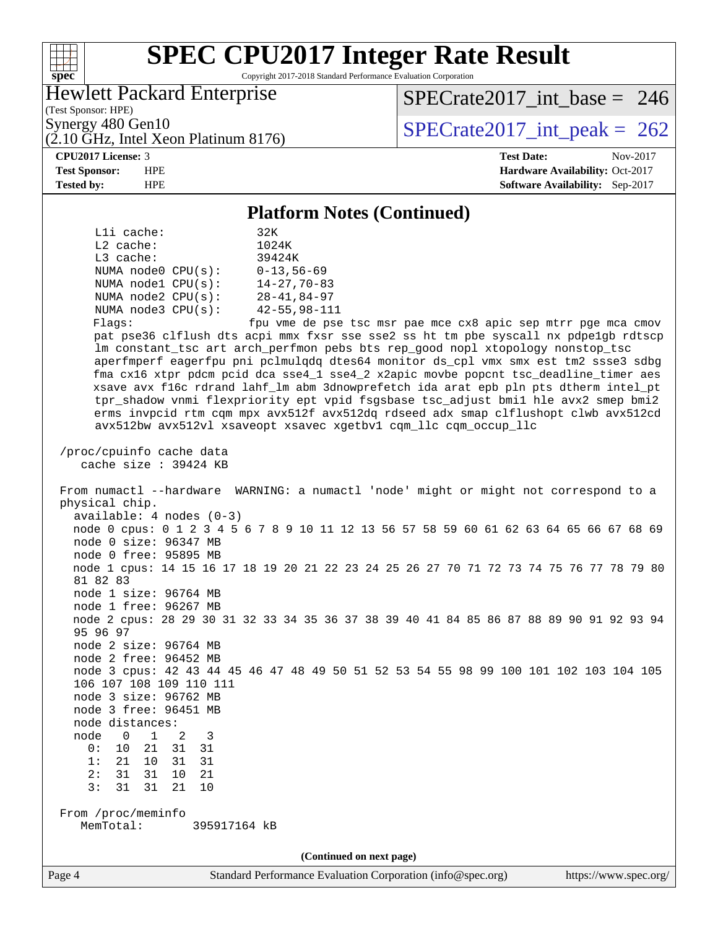

Copyright 2017-2018 Standard Performance Evaluation Corporation

### Hewlett Packard Enterprise

(2.10 GHz, Intel Xeon Platinum 8176)

(Test Sponsor: HPE)

[SPECrate2017\\_int\\_base =](http://www.spec.org/auto/cpu2017/Docs/result-fields.html#SPECrate2017intbase) 246

Synergy 480 Gen10<br>  $(2.10 \text{ GHz} \text{ Intel } X_{\text{eon} \text{ Platinum}} 8176)$  SPECrate 2017\_int\_peak = 262

**[CPU2017 License:](http://www.spec.org/auto/cpu2017/Docs/result-fields.html#CPU2017License)** 3 **[Test Date:](http://www.spec.org/auto/cpu2017/Docs/result-fields.html#TestDate)** Nov-2017 **[Test Sponsor:](http://www.spec.org/auto/cpu2017/Docs/result-fields.html#TestSponsor)** HPE **[Hardware Availability:](http://www.spec.org/auto/cpu2017/Docs/result-fields.html#HardwareAvailability)** Oct-2017 **[Tested by:](http://www.spec.org/auto/cpu2017/Docs/result-fields.html#Testedby)** HPE **[Software Availability:](http://www.spec.org/auto/cpu2017/Docs/result-fields.html#SoftwareAvailability)** Sep-2017

#### **[Platform Notes \(Continued\)](http://www.spec.org/auto/cpu2017/Docs/result-fields.html#PlatformNotes)**

| (Continued on next page)                                                                                                                                             |
|----------------------------------------------------------------------------------------------------------------------------------------------------------------------|
| From /proc/meminfo<br>MemTotal:<br>395917164 kB                                                                                                                      |
| 3:<br>31<br>31<br>10<br>21                                                                                                                                           |
| 2:<br>31<br>31<br>21<br>10                                                                                                                                           |
| 1:<br>21<br>31<br>10<br>31                                                                                                                                           |
| 0:<br>10<br>21<br>31<br>31                                                                                                                                           |
| node<br>$1 \quad$<br>$\overline{0}$<br>2<br>3                                                                                                                        |
| node distances:                                                                                                                                                      |
| node 3 free: 96451 MB                                                                                                                                                |
| node 3 size: 96762 MB                                                                                                                                                |
| 106 107 108 109 110 111                                                                                                                                              |
| node 2 free: 96452 MB<br>node 3 cpus: 42 43 44 45 46 47 48 49 50 51 52 53 54 55 98 99 100 101 102 103 104 105                                                        |
| node 2 size: 96764 MB                                                                                                                                                |
| 95 96 97                                                                                                                                                             |
| node 2 cpus: 28 29 30 31 32 33 34 35 36 37 38 39 40 41 84 85 86 87 88 89 90 91 92 93 94                                                                              |
| node 1 free: 96267 MB                                                                                                                                                |
| node 1 size: 96764 MB                                                                                                                                                |
| 81 82 83                                                                                                                                                             |
| node 1 cpus: 14 15 16 17 18 19 20 21 22 23 24 25 26 27 70 71 72 73 74 75 76 77 78 79 80                                                                              |
| node 0 free: 95895 MB                                                                                                                                                |
| node 0 size: 96347 MB                                                                                                                                                |
| $available: 4 nodes (0-3)$<br>node 0 cpus: 0 1 2 3 4 5 6 7 8 9 10 11 12 13 56 57 58 59 60 61 62 63 64 65 66 67 68 69                                                 |
| physical chip.                                                                                                                                                       |
| From numactl --hardware WARNING: a numactl 'node' might or might not correspond to a                                                                                 |
|                                                                                                                                                                      |
| cache size : 39424 KB                                                                                                                                                |
| /proc/cpuinfo cache data                                                                                                                                             |
| avx512bw avx512vl xsaveopt xsavec xgetbvl cqm_llc cqm_occup_llc                                                                                                      |
| erms invpcid rtm cqm mpx avx512f avx512dq rdseed adx smap clflushopt clwb avx512cd                                                                                   |
| tpr_shadow vnmi flexpriority ept vpid fsgsbase tsc_adjust bmil hle avx2 smep bmi2                                                                                    |
| xsave avx f16c rdrand lahf_lm abm 3dnowprefetch ida arat epb pln pts dtherm intel_pt                                                                                 |
| fma cx16 xtpr pdcm pcid dca sse4_1 sse4_2 x2apic movbe popcnt tsc_deadline_timer aes                                                                                 |
| aperfmperf eagerfpu pni pclmulqdq dtes64 monitor ds_cpl vmx smx est tm2 ssse3 sdbg                                                                                   |
| pat pse36 clflush dts acpi mmx fxsr sse sse2 ss ht tm pbe syscall nx pdpelgb rdtscp<br>lm constant_tsc art arch_perfmon pebs bts rep_good nopl xtopology nonstop_tsc |
| fpu vme de pse tsc msr pae mce cx8 apic sep mtrr pge mca cmov<br>Flags:                                                                                              |
| NUMA $node3$ $CPU(s):$<br>42-55,98-111                                                                                                                               |
| NUMA $node2$ $CPU(s):$<br>$28 - 41, 84 - 97$                                                                                                                         |
| $14 - 27, 70 - 83$<br>NUMA $node1$ $CPU(s):$                                                                                                                         |
| NUMA node0 $CPU(s): 0-13, 56-69$                                                                                                                                     |
| L3 cache:<br>39424K                                                                                                                                                  |
| $L2$ cache:<br>1024K                                                                                                                                                 |
| 32K<br>$L1i$ cache:                                                                                                                                                  |
|                                                                                                                                                                      |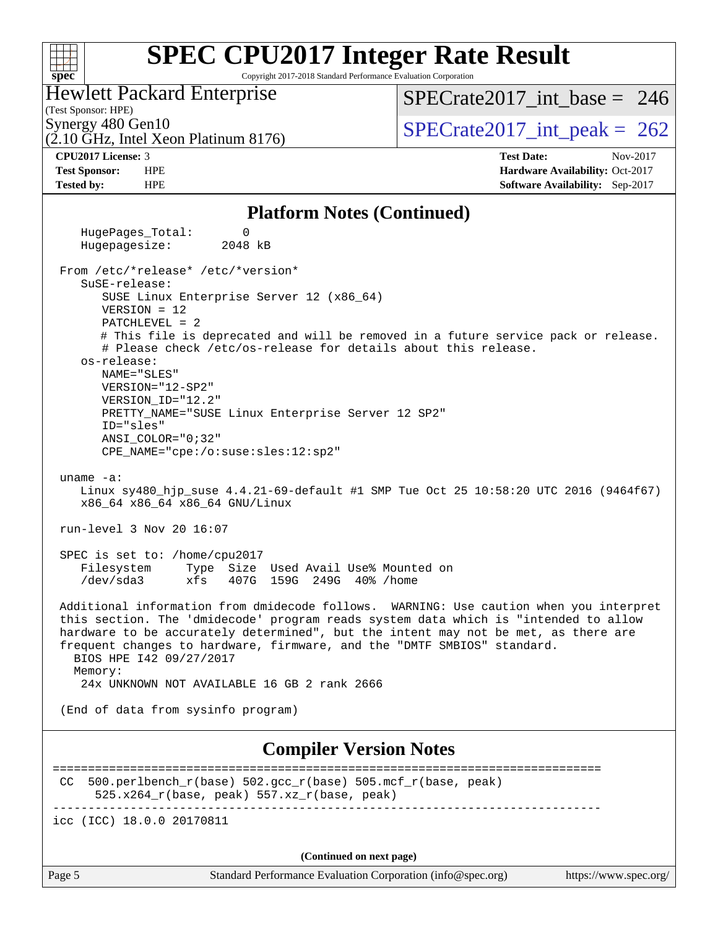Copyright 2017-2018 Standard Performance Evaluation Corporation

### Hewlett Packard Enterprise

(2.10 GHz, Intel Xeon Platinum 8176)

(Test Sponsor: HPE)

**[spec](http://www.spec.org/)**

 $+\!\!+\!\!$ 

[SPECrate2017\\_int\\_base =](http://www.spec.org/auto/cpu2017/Docs/result-fields.html#SPECrate2017intbase) 246

Synergy 480 Gen10<br>  $SPECrate2017$ \_int\_peak = 262

**[CPU2017 License:](http://www.spec.org/auto/cpu2017/Docs/result-fields.html#CPU2017License)** 3 **[Test Date:](http://www.spec.org/auto/cpu2017/Docs/result-fields.html#TestDate)** Nov-2017 **[Test Sponsor:](http://www.spec.org/auto/cpu2017/Docs/result-fields.html#TestSponsor)** HPE **[Hardware Availability:](http://www.spec.org/auto/cpu2017/Docs/result-fields.html#HardwareAvailability)** Oct-2017 **[Tested by:](http://www.spec.org/auto/cpu2017/Docs/result-fields.html#Testedby)** HPE **[Software Availability:](http://www.spec.org/auto/cpu2017/Docs/result-fields.html#SoftwareAvailability)** Sep-2017

#### **[Platform Notes \(Continued\)](http://www.spec.org/auto/cpu2017/Docs/result-fields.html#PlatformNotes)**

HugePages Total: 0 Hugepagesize: 2048 kB From /etc/\*release\* /etc/\*version\* SuSE-release: SUSE Linux Enterprise Server 12 (x86\_64) VERSION = 12 PATCHLEVEL = 2 # This file is deprecated and will be removed in a future service pack or release. # Please check /etc/os-release for details about this release. os-release: NAME="SLES" VERSION="12-SP2" VERSION\_ID="12.2" PRETTY\_NAME="SUSE Linux Enterprise Server 12 SP2" ID="sles" ANSI\_COLOR="0;32" CPE\_NAME="cpe:/o:suse:sles:12:sp2" uname -a: Linux sy480\_hjp\_suse 4.4.21-69-default #1 SMP Tue Oct 25 10:58:20 UTC 2016 (9464f67) x86\_64 x86\_64 x86\_64 GNU/Linux run-level 3 Nov 20 16:07 SPEC is set to: /home/cpu2017 Filesystem Type Size Used Avail Use% Mounted on /dev/sda3 xfs 407G 159G 249G 40% /home Additional information from dmidecode follows. WARNING: Use caution when you interpret this section. The 'dmidecode' program reads system data which is "intended to allow hardware to be accurately determined", but the intent may not be met, as there are frequent changes to hardware, firmware, and the "DMTF SMBIOS" standard. BIOS HPE I42 09/27/2017 Memory: 24x UNKNOWN NOT AVAILABLE 16 GB 2 rank 2666 (End of data from sysinfo program) **[Compiler Version Notes](http://www.spec.org/auto/cpu2017/Docs/result-fields.html#CompilerVersionNotes)** ============================================================================== CC 500.perlbench  $r(base)$  502.gcc  $r(base)$  505.mcf  $r(base, peak)$ 525.x264 $r(base, peak)$  557.xz $r(base, peak)$ ----------------------------------------------------------------------------- icc (ICC) 18.0.0 20170811

**(Continued on next page)**

Page 5 Standard Performance Evaluation Corporation [\(info@spec.org\)](mailto:info@spec.org) <https://www.spec.org/>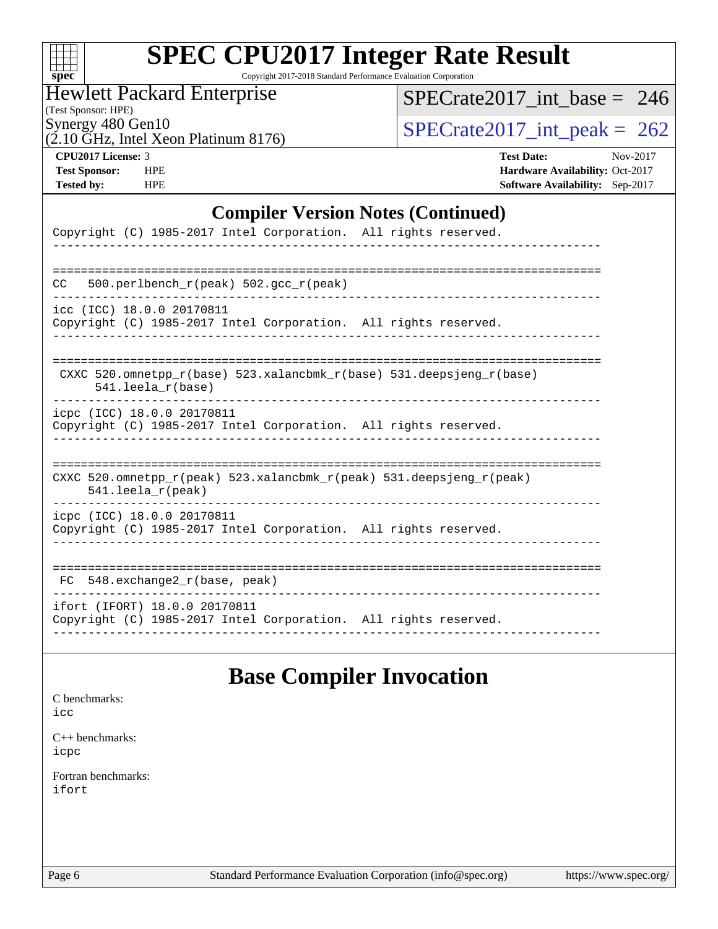| ч<br>Ľ<br>C.<br>N<br>Ù. |  |  |  |  |  |  |  |
|-------------------------|--|--|--|--|--|--|--|

Copyright 2017-2018 Standard Performance Evaluation Corporation

Hewlett Packard Enterprise

(Test Sponsor: HPE)

[SPECrate2017\\_int\\_base =](http://www.spec.org/auto/cpu2017/Docs/result-fields.html#SPECrate2017intbase) 246

 $(2.10 \text{ GHz}, \text{Intel Xeon Platinum } 8176)$ 

Synergy 480 Gen10<br>  $\overline{SPECrate2017\_int\_peak} = 262$ 

**[CPU2017 License:](http://www.spec.org/auto/cpu2017/Docs/result-fields.html#CPU2017License)** 3 **[Test Date:](http://www.spec.org/auto/cpu2017/Docs/result-fields.html#TestDate)** Nov-2017 **[Test Sponsor:](http://www.spec.org/auto/cpu2017/Docs/result-fields.html#TestSponsor)** HPE **[Hardware Availability:](http://www.spec.org/auto/cpu2017/Docs/result-fields.html#HardwareAvailability)** Oct-2017 **[Tested by:](http://www.spec.org/auto/cpu2017/Docs/result-fields.html#Testedby)** HPE **[Software Availability:](http://www.spec.org/auto/cpu2017/Docs/result-fields.html#SoftwareAvailability)** Sep-2017

#### **[Compiler Version Notes \(Continued\)](http://www.spec.org/auto/cpu2017/Docs/result-fields.html#CompilerVersionNotes)**

| Copyright (C) 1985-2017 Intel Corporation. All rights reserved.                                                            |
|----------------------------------------------------------------------------------------------------------------------------|
| 500.perlbench $r(\text{peak})$ 502.gcc $r(\text{peak})$<br>CC.                                                             |
| icc (ICC) 18.0.0 20170811<br>Copyright (C) 1985-2017 Intel Corporation. All rights reserved.                               |
| CXXC 520.omnetpp $r(base)$ 523.xalancbmk $r(base)$ 531.deepsjeng $r(base)$<br>$541.$ leela $r(base)$                       |
| icpc (ICC) 18.0.0 20170811<br>Copyright (C) 1985-2017 Intel Corporation. All rights reserved.                              |
| CXXC 520.omnetpp $r(\text{peak})$ 523.xalancbmk $r(\text{peak})$ 531.deepsjeng $r(\text{peak})$<br>$541.$ leela $r$ (peak) |
| icpc (ICC) 18.0.0 20170811<br>Copyright (C) 1985-2017 Intel Corporation. All rights reserved.                              |
| $FC$ 548. exchange2 $r(base, peak)$                                                                                        |
| ifort (IFORT) 18.0.0 20170811<br>Copyright (C) 1985-2017 Intel Corporation. All rights reserved.                           |

### **[Base Compiler Invocation](http://www.spec.org/auto/cpu2017/Docs/result-fields.html#BaseCompilerInvocation)**

[C benchmarks](http://www.spec.org/auto/cpu2017/Docs/result-fields.html#Cbenchmarks): [icc](http://www.spec.org/cpu2017/results/res2017q4/cpu2017-20171128-01281.flags.html#user_CCbase_intel_icc_18.0_66fc1ee009f7361af1fbd72ca7dcefbb700085f36577c54f309893dd4ec40d12360134090235512931783d35fd58c0460139e722d5067c5574d8eaf2b3e37e92)

[C++ benchmarks:](http://www.spec.org/auto/cpu2017/Docs/result-fields.html#CXXbenchmarks) [icpc](http://www.spec.org/cpu2017/results/res2017q4/cpu2017-20171128-01281.flags.html#user_CXXbase_intel_icpc_18.0_c510b6838c7f56d33e37e94d029a35b4a7bccf4766a728ee175e80a419847e808290a9b78be685c44ab727ea267ec2f070ec5dc83b407c0218cded6866a35d07)

[Fortran benchmarks](http://www.spec.org/auto/cpu2017/Docs/result-fields.html#Fortranbenchmarks): [ifort](http://www.spec.org/cpu2017/results/res2017q4/cpu2017-20171128-01281.flags.html#user_FCbase_intel_ifort_18.0_8111460550e3ca792625aed983ce982f94888b8b503583aa7ba2b8303487b4d8a21a13e7191a45c5fd58ff318f48f9492884d4413fa793fd88dd292cad7027ca)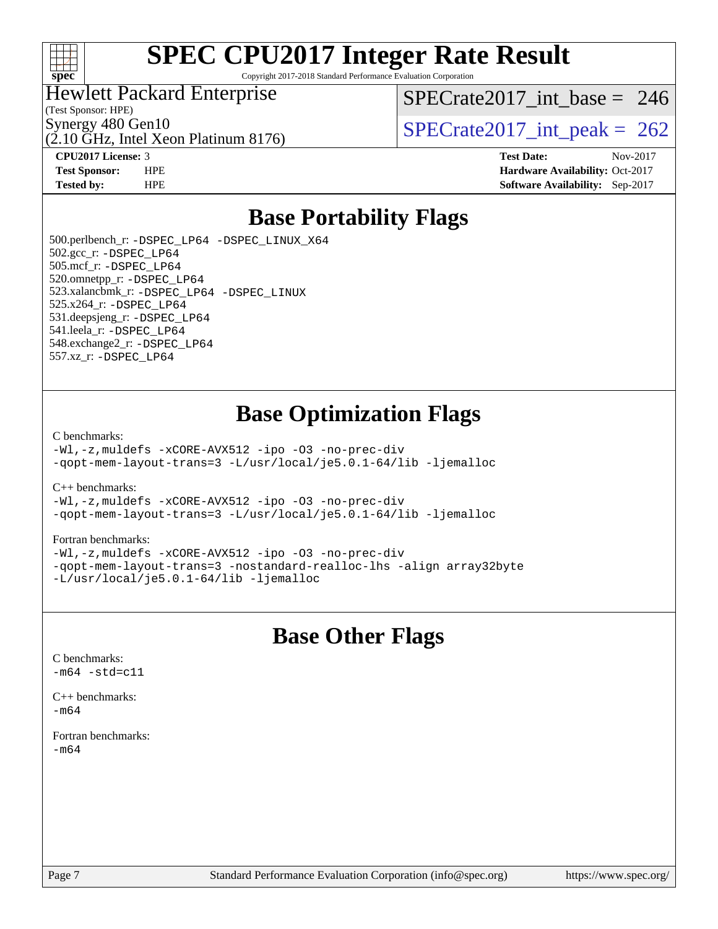

Copyright 2017-2018 Standard Performance Evaluation Corporation

#### Hewlett Packard Enterprise

(Test Sponsor: HPE)

(2.10 GHz, Intel Xeon Platinum 8176)

[SPECrate2017\\_int\\_base =](http://www.spec.org/auto/cpu2017/Docs/result-fields.html#SPECrate2017intbase) 246

Synergy 480 Gen10<br>  $\binom{5}{10}$  [SPECrate2017\\_int\\_peak =](http://www.spec.org/auto/cpu2017/Docs/result-fields.html#SPECrate2017intpeak) 262

**[CPU2017 License:](http://www.spec.org/auto/cpu2017/Docs/result-fields.html#CPU2017License)** 3 **[Test Date:](http://www.spec.org/auto/cpu2017/Docs/result-fields.html#TestDate)** Nov-2017

**[Test Sponsor:](http://www.spec.org/auto/cpu2017/Docs/result-fields.html#TestSponsor)** HPE **[Hardware Availability:](http://www.spec.org/auto/cpu2017/Docs/result-fields.html#HardwareAvailability)** Oct-2017 **[Tested by:](http://www.spec.org/auto/cpu2017/Docs/result-fields.html#Testedby)** HPE **[Software Availability:](http://www.spec.org/auto/cpu2017/Docs/result-fields.html#SoftwareAvailability)** Sep-2017

### **[Base Portability Flags](http://www.spec.org/auto/cpu2017/Docs/result-fields.html#BasePortabilityFlags)**

 500.perlbench\_r: [-DSPEC\\_LP64](http://www.spec.org/cpu2017/results/res2017q4/cpu2017-20171128-01281.flags.html#b500.perlbench_r_basePORTABILITY_DSPEC_LP64) [-DSPEC\\_LINUX\\_X64](http://www.spec.org/cpu2017/results/res2017q4/cpu2017-20171128-01281.flags.html#b500.perlbench_r_baseCPORTABILITY_DSPEC_LINUX_X64) 502.gcc\_r: [-DSPEC\\_LP64](http://www.spec.org/cpu2017/results/res2017q4/cpu2017-20171128-01281.flags.html#suite_basePORTABILITY502_gcc_r_DSPEC_LP64) 505.mcf\_r: [-DSPEC\\_LP64](http://www.spec.org/cpu2017/results/res2017q4/cpu2017-20171128-01281.flags.html#suite_basePORTABILITY505_mcf_r_DSPEC_LP64) 520.omnetpp\_r: [-DSPEC\\_LP64](http://www.spec.org/cpu2017/results/res2017q4/cpu2017-20171128-01281.flags.html#suite_basePORTABILITY520_omnetpp_r_DSPEC_LP64) 523.xalancbmk\_r: [-DSPEC\\_LP64](http://www.spec.org/cpu2017/results/res2017q4/cpu2017-20171128-01281.flags.html#suite_basePORTABILITY523_xalancbmk_r_DSPEC_LP64) [-DSPEC\\_LINUX](http://www.spec.org/cpu2017/results/res2017q4/cpu2017-20171128-01281.flags.html#b523.xalancbmk_r_baseCXXPORTABILITY_DSPEC_LINUX) 525.x264\_r: [-DSPEC\\_LP64](http://www.spec.org/cpu2017/results/res2017q4/cpu2017-20171128-01281.flags.html#suite_basePORTABILITY525_x264_r_DSPEC_LP64) 531.deepsjeng\_r: [-DSPEC\\_LP64](http://www.spec.org/cpu2017/results/res2017q4/cpu2017-20171128-01281.flags.html#suite_basePORTABILITY531_deepsjeng_r_DSPEC_LP64) 541.leela\_r: [-DSPEC\\_LP64](http://www.spec.org/cpu2017/results/res2017q4/cpu2017-20171128-01281.flags.html#suite_basePORTABILITY541_leela_r_DSPEC_LP64) 548.exchange2\_r: [-DSPEC\\_LP64](http://www.spec.org/cpu2017/results/res2017q4/cpu2017-20171128-01281.flags.html#suite_basePORTABILITY548_exchange2_r_DSPEC_LP64) 557.xz\_r: [-DSPEC\\_LP64](http://www.spec.org/cpu2017/results/res2017q4/cpu2017-20171128-01281.flags.html#suite_basePORTABILITY557_xz_r_DSPEC_LP64)

### **[Base Optimization Flags](http://www.spec.org/auto/cpu2017/Docs/result-fields.html#BaseOptimizationFlags)**

[C benchmarks](http://www.spec.org/auto/cpu2017/Docs/result-fields.html#Cbenchmarks):

[-Wl,-z,muldefs](http://www.spec.org/cpu2017/results/res2017q4/cpu2017-20171128-01281.flags.html#user_CCbase_link_force_multiple1_b4cbdb97b34bdee9ceefcfe54f4c8ea74255f0b02a4b23e853cdb0e18eb4525ac79b5a88067c842dd0ee6996c24547a27a4b99331201badda8798ef8a743f577) [-xCORE-AVX512](http://www.spec.org/cpu2017/results/res2017q4/cpu2017-20171128-01281.flags.html#user_CCbase_f-xCORE-AVX512) [-ipo](http://www.spec.org/cpu2017/results/res2017q4/cpu2017-20171128-01281.flags.html#user_CCbase_f-ipo) [-O3](http://www.spec.org/cpu2017/results/res2017q4/cpu2017-20171128-01281.flags.html#user_CCbase_f-O3) [-no-prec-div](http://www.spec.org/cpu2017/results/res2017q4/cpu2017-20171128-01281.flags.html#user_CCbase_f-no-prec-div) [-qopt-mem-layout-trans=3](http://www.spec.org/cpu2017/results/res2017q4/cpu2017-20171128-01281.flags.html#user_CCbase_f-qopt-mem-layout-trans_de80db37974c74b1f0e20d883f0b675c88c3b01e9d123adea9b28688d64333345fb62bc4a798493513fdb68f60282f9a726aa07f478b2f7113531aecce732043) [-L/usr/local/je5.0.1-64/lib](http://www.spec.org/cpu2017/results/res2017q4/cpu2017-20171128-01281.flags.html#user_CCbase_jemalloc_link_path64_4b10a636b7bce113509b17f3bd0d6226c5fb2346b9178c2d0232c14f04ab830f976640479e5c33dc2bcbbdad86ecfb6634cbbd4418746f06f368b512fced5394) [-ljemalloc](http://www.spec.org/cpu2017/results/res2017q4/cpu2017-20171128-01281.flags.html#user_CCbase_jemalloc_link_lib_d1249b907c500fa1c0672f44f562e3d0f79738ae9e3c4a9c376d49f265a04b9c99b167ecedbf6711b3085be911c67ff61f150a17b3472be731631ba4d0471706)

[C++ benchmarks:](http://www.spec.org/auto/cpu2017/Docs/result-fields.html#CXXbenchmarks)

[-Wl,-z,muldefs](http://www.spec.org/cpu2017/results/res2017q4/cpu2017-20171128-01281.flags.html#user_CXXbase_link_force_multiple1_b4cbdb97b34bdee9ceefcfe54f4c8ea74255f0b02a4b23e853cdb0e18eb4525ac79b5a88067c842dd0ee6996c24547a27a4b99331201badda8798ef8a743f577) [-xCORE-AVX512](http://www.spec.org/cpu2017/results/res2017q4/cpu2017-20171128-01281.flags.html#user_CXXbase_f-xCORE-AVX512) [-ipo](http://www.spec.org/cpu2017/results/res2017q4/cpu2017-20171128-01281.flags.html#user_CXXbase_f-ipo) [-O3](http://www.spec.org/cpu2017/results/res2017q4/cpu2017-20171128-01281.flags.html#user_CXXbase_f-O3) [-no-prec-div](http://www.spec.org/cpu2017/results/res2017q4/cpu2017-20171128-01281.flags.html#user_CXXbase_f-no-prec-div) [-qopt-mem-layout-trans=3](http://www.spec.org/cpu2017/results/res2017q4/cpu2017-20171128-01281.flags.html#user_CXXbase_f-qopt-mem-layout-trans_de80db37974c74b1f0e20d883f0b675c88c3b01e9d123adea9b28688d64333345fb62bc4a798493513fdb68f60282f9a726aa07f478b2f7113531aecce732043) [-L/usr/local/je5.0.1-64/lib](http://www.spec.org/cpu2017/results/res2017q4/cpu2017-20171128-01281.flags.html#user_CXXbase_jemalloc_link_path64_4b10a636b7bce113509b17f3bd0d6226c5fb2346b9178c2d0232c14f04ab830f976640479e5c33dc2bcbbdad86ecfb6634cbbd4418746f06f368b512fced5394) [-ljemalloc](http://www.spec.org/cpu2017/results/res2017q4/cpu2017-20171128-01281.flags.html#user_CXXbase_jemalloc_link_lib_d1249b907c500fa1c0672f44f562e3d0f79738ae9e3c4a9c376d49f265a04b9c99b167ecedbf6711b3085be911c67ff61f150a17b3472be731631ba4d0471706)

#### [Fortran benchmarks](http://www.spec.org/auto/cpu2017/Docs/result-fields.html#Fortranbenchmarks):

[-Wl,-z,muldefs](http://www.spec.org/cpu2017/results/res2017q4/cpu2017-20171128-01281.flags.html#user_FCbase_link_force_multiple1_b4cbdb97b34bdee9ceefcfe54f4c8ea74255f0b02a4b23e853cdb0e18eb4525ac79b5a88067c842dd0ee6996c24547a27a4b99331201badda8798ef8a743f577) [-xCORE-AVX512](http://www.spec.org/cpu2017/results/res2017q4/cpu2017-20171128-01281.flags.html#user_FCbase_f-xCORE-AVX512) [-ipo](http://www.spec.org/cpu2017/results/res2017q4/cpu2017-20171128-01281.flags.html#user_FCbase_f-ipo) [-O3](http://www.spec.org/cpu2017/results/res2017q4/cpu2017-20171128-01281.flags.html#user_FCbase_f-O3) [-no-prec-div](http://www.spec.org/cpu2017/results/res2017q4/cpu2017-20171128-01281.flags.html#user_FCbase_f-no-prec-div) [-qopt-mem-layout-trans=3](http://www.spec.org/cpu2017/results/res2017q4/cpu2017-20171128-01281.flags.html#user_FCbase_f-qopt-mem-layout-trans_de80db37974c74b1f0e20d883f0b675c88c3b01e9d123adea9b28688d64333345fb62bc4a798493513fdb68f60282f9a726aa07f478b2f7113531aecce732043) [-nostandard-realloc-lhs](http://www.spec.org/cpu2017/results/res2017q4/cpu2017-20171128-01281.flags.html#user_FCbase_f_2003_std_realloc_82b4557e90729c0f113870c07e44d33d6f5a304b4f63d4c15d2d0f1fab99f5daaed73bdb9275d9ae411527f28b936061aa8b9c8f2d63842963b95c9dd6426b8a) [-align array32byte](http://www.spec.org/cpu2017/results/res2017q4/cpu2017-20171128-01281.flags.html#user_FCbase_align_array32byte_b982fe038af199962ba9a80c053b8342c548c85b40b8e86eb3cc33dee0d7986a4af373ac2d51c3f7cf710a18d62fdce2948f201cd044323541f22fc0fffc51b6) [-L/usr/local/je5.0.1-64/lib](http://www.spec.org/cpu2017/results/res2017q4/cpu2017-20171128-01281.flags.html#user_FCbase_jemalloc_link_path64_4b10a636b7bce113509b17f3bd0d6226c5fb2346b9178c2d0232c14f04ab830f976640479e5c33dc2bcbbdad86ecfb6634cbbd4418746f06f368b512fced5394) [-ljemalloc](http://www.spec.org/cpu2017/results/res2017q4/cpu2017-20171128-01281.flags.html#user_FCbase_jemalloc_link_lib_d1249b907c500fa1c0672f44f562e3d0f79738ae9e3c4a9c376d49f265a04b9c99b167ecedbf6711b3085be911c67ff61f150a17b3472be731631ba4d0471706)

### **[Base Other Flags](http://www.spec.org/auto/cpu2017/Docs/result-fields.html#BaseOtherFlags)**

[C benchmarks](http://www.spec.org/auto/cpu2017/Docs/result-fields.html#Cbenchmarks):  $-m64 - std= c11$  $-m64 - std= c11$ 

[C++ benchmarks:](http://www.spec.org/auto/cpu2017/Docs/result-fields.html#CXXbenchmarks)  $-m64$ 

[Fortran benchmarks](http://www.spec.org/auto/cpu2017/Docs/result-fields.html#Fortranbenchmarks): [-m64](http://www.spec.org/cpu2017/results/res2017q4/cpu2017-20171128-01281.flags.html#user_FCbase_intel_intel64_18.0_af43caccfc8ded86e7699f2159af6efc7655f51387b94da716254467f3c01020a5059329e2569e4053f409e7c9202a7efc638f7a6d1ffb3f52dea4a3e31d82ab)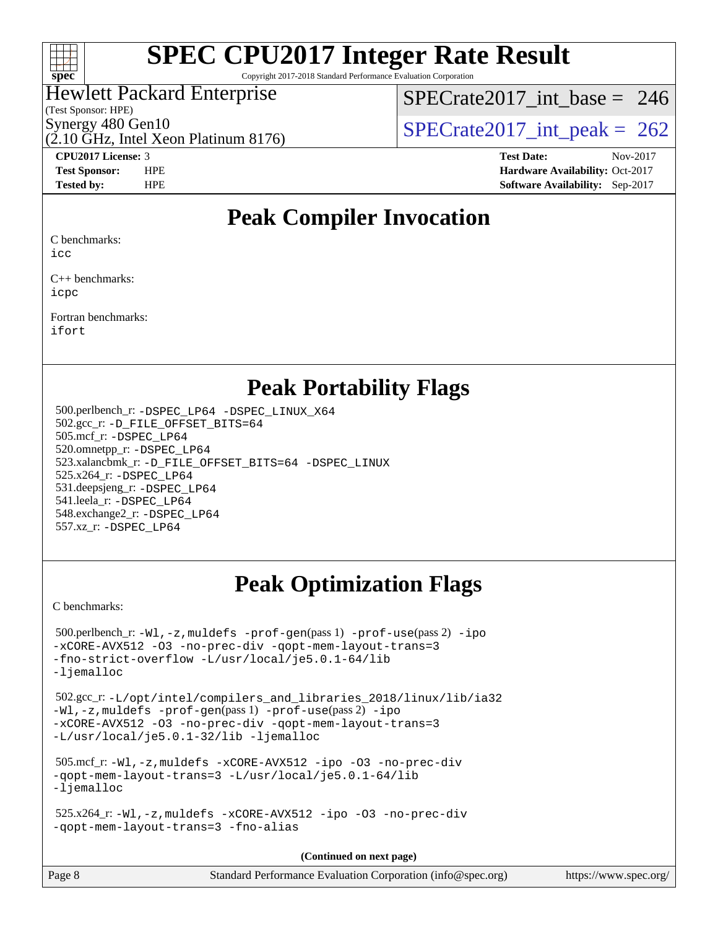

Copyright 2017-2018 Standard Performance Evaluation Corporation

### Hewlett Packard Enterprise

(Test Sponsor: HPE)

 $SPECrate2017\_int\_base = 246$ 

(2.10 GHz, Intel Xeon Platinum 8176)

Synergy 480 Gen10<br>  $SPECTate2017$ \_int\_peak = 262

**[CPU2017 License:](http://www.spec.org/auto/cpu2017/Docs/result-fields.html#CPU2017License)** 3 **[Test Date:](http://www.spec.org/auto/cpu2017/Docs/result-fields.html#TestDate)** Nov-2017 **[Test Sponsor:](http://www.spec.org/auto/cpu2017/Docs/result-fields.html#TestSponsor)** HPE **[Hardware Availability:](http://www.spec.org/auto/cpu2017/Docs/result-fields.html#HardwareAvailability)** Oct-2017 **[Tested by:](http://www.spec.org/auto/cpu2017/Docs/result-fields.html#Testedby)** HPE **[Software Availability:](http://www.spec.org/auto/cpu2017/Docs/result-fields.html#SoftwareAvailability)** Sep-2017

### **[Peak Compiler Invocation](http://www.spec.org/auto/cpu2017/Docs/result-fields.html#PeakCompilerInvocation)**

[C benchmarks:](http://www.spec.org/auto/cpu2017/Docs/result-fields.html#Cbenchmarks)

[icc](http://www.spec.org/cpu2017/results/res2017q4/cpu2017-20171128-01281.flags.html#user_CCpeak_intel_icc_18.0_66fc1ee009f7361af1fbd72ca7dcefbb700085f36577c54f309893dd4ec40d12360134090235512931783d35fd58c0460139e722d5067c5574d8eaf2b3e37e92)

[C++ benchmarks:](http://www.spec.org/auto/cpu2017/Docs/result-fields.html#CXXbenchmarks) [icpc](http://www.spec.org/cpu2017/results/res2017q4/cpu2017-20171128-01281.flags.html#user_CXXpeak_intel_icpc_18.0_c510b6838c7f56d33e37e94d029a35b4a7bccf4766a728ee175e80a419847e808290a9b78be685c44ab727ea267ec2f070ec5dc83b407c0218cded6866a35d07)

[Fortran benchmarks](http://www.spec.org/auto/cpu2017/Docs/result-fields.html#Fortranbenchmarks): [ifort](http://www.spec.org/cpu2017/results/res2017q4/cpu2017-20171128-01281.flags.html#user_FCpeak_intel_ifort_18.0_8111460550e3ca792625aed983ce982f94888b8b503583aa7ba2b8303487b4d8a21a13e7191a45c5fd58ff318f48f9492884d4413fa793fd88dd292cad7027ca)

### **[Peak Portability Flags](http://www.spec.org/auto/cpu2017/Docs/result-fields.html#PeakPortabilityFlags)**

 500.perlbench\_r: [-DSPEC\\_LP64](http://www.spec.org/cpu2017/results/res2017q4/cpu2017-20171128-01281.flags.html#b500.perlbench_r_peakPORTABILITY_DSPEC_LP64) [-DSPEC\\_LINUX\\_X64](http://www.spec.org/cpu2017/results/res2017q4/cpu2017-20171128-01281.flags.html#b500.perlbench_r_peakCPORTABILITY_DSPEC_LINUX_X64) 502.gcc\_r: [-D\\_FILE\\_OFFSET\\_BITS=64](http://www.spec.org/cpu2017/results/res2017q4/cpu2017-20171128-01281.flags.html#user_peakPORTABILITY502_gcc_r_file_offset_bits_64_5ae949a99b284ddf4e95728d47cb0843d81b2eb0e18bdfe74bbf0f61d0b064f4bda2f10ea5eb90e1dcab0e84dbc592acfc5018bc955c18609f94ddb8d550002c) 505.mcf\_r: [-DSPEC\\_LP64](http://www.spec.org/cpu2017/results/res2017q4/cpu2017-20171128-01281.flags.html#suite_peakPORTABILITY505_mcf_r_DSPEC_LP64) 520.omnetpp\_r: [-DSPEC\\_LP64](http://www.spec.org/cpu2017/results/res2017q4/cpu2017-20171128-01281.flags.html#suite_peakPORTABILITY520_omnetpp_r_DSPEC_LP64) 523.xalancbmk\_r: [-D\\_FILE\\_OFFSET\\_BITS=64](http://www.spec.org/cpu2017/results/res2017q4/cpu2017-20171128-01281.flags.html#user_peakPORTABILITY523_xalancbmk_r_file_offset_bits_64_5ae949a99b284ddf4e95728d47cb0843d81b2eb0e18bdfe74bbf0f61d0b064f4bda2f10ea5eb90e1dcab0e84dbc592acfc5018bc955c18609f94ddb8d550002c) [-DSPEC\\_LINUX](http://www.spec.org/cpu2017/results/res2017q4/cpu2017-20171128-01281.flags.html#b523.xalancbmk_r_peakCXXPORTABILITY_DSPEC_LINUX) 525.x264\_r: [-DSPEC\\_LP64](http://www.spec.org/cpu2017/results/res2017q4/cpu2017-20171128-01281.flags.html#suite_peakPORTABILITY525_x264_r_DSPEC_LP64) 531.deepsjeng\_r: [-DSPEC\\_LP64](http://www.spec.org/cpu2017/results/res2017q4/cpu2017-20171128-01281.flags.html#suite_peakPORTABILITY531_deepsjeng_r_DSPEC_LP64) 541.leela\_r: [-DSPEC\\_LP64](http://www.spec.org/cpu2017/results/res2017q4/cpu2017-20171128-01281.flags.html#suite_peakPORTABILITY541_leela_r_DSPEC_LP64) 548.exchange2\_r: [-DSPEC\\_LP64](http://www.spec.org/cpu2017/results/res2017q4/cpu2017-20171128-01281.flags.html#suite_peakPORTABILITY548_exchange2_r_DSPEC_LP64) 557.xz\_r: [-DSPEC\\_LP64](http://www.spec.org/cpu2017/results/res2017q4/cpu2017-20171128-01281.flags.html#suite_peakPORTABILITY557_xz_r_DSPEC_LP64)

## **[Peak Optimization Flags](http://www.spec.org/auto/cpu2017/Docs/result-fields.html#PeakOptimizationFlags)**

[C benchmarks](http://www.spec.org/auto/cpu2017/Docs/result-fields.html#Cbenchmarks):

 500.perlbench\_r: [-Wl,-z,muldefs](http://www.spec.org/cpu2017/results/res2017q4/cpu2017-20171128-01281.flags.html#user_peakEXTRA_LDFLAGS500_perlbench_r_link_force_multiple1_b4cbdb97b34bdee9ceefcfe54f4c8ea74255f0b02a4b23e853cdb0e18eb4525ac79b5a88067c842dd0ee6996c24547a27a4b99331201badda8798ef8a743f577) [-prof-gen](http://www.spec.org/cpu2017/results/res2017q4/cpu2017-20171128-01281.flags.html#user_peakPASS1_CFLAGSPASS1_LDFLAGS500_perlbench_r_prof_gen_5aa4926d6013ddb2a31985c654b3eb18169fc0c6952a63635c234f711e6e63dd76e94ad52365559451ec499a2cdb89e4dc58ba4c67ef54ca681ffbe1461d6b36)(pass 1) [-prof-use](http://www.spec.org/cpu2017/results/res2017q4/cpu2017-20171128-01281.flags.html#user_peakPASS2_CFLAGSPASS2_LDFLAGS500_perlbench_r_prof_use_1a21ceae95f36a2b53c25747139a6c16ca95bd9def2a207b4f0849963b97e94f5260e30a0c64f4bb623698870e679ca08317ef8150905d41bd88c6f78df73f19)(pass 2) [-ipo](http://www.spec.org/cpu2017/results/res2017q4/cpu2017-20171128-01281.flags.html#user_peakPASS1_COPTIMIZEPASS2_COPTIMIZE500_perlbench_r_f-ipo) [-xCORE-AVX512](http://www.spec.org/cpu2017/results/res2017q4/cpu2017-20171128-01281.flags.html#user_peakPASS2_COPTIMIZE500_perlbench_r_f-xCORE-AVX512) [-O3](http://www.spec.org/cpu2017/results/res2017q4/cpu2017-20171128-01281.flags.html#user_peakPASS1_COPTIMIZEPASS2_COPTIMIZE500_perlbench_r_f-O3) [-no-prec-div](http://www.spec.org/cpu2017/results/res2017q4/cpu2017-20171128-01281.flags.html#user_peakPASS1_COPTIMIZEPASS2_COPTIMIZE500_perlbench_r_f-no-prec-div) [-qopt-mem-layout-trans=3](http://www.spec.org/cpu2017/results/res2017q4/cpu2017-20171128-01281.flags.html#user_peakPASS1_COPTIMIZEPASS2_COPTIMIZE500_perlbench_r_f-qopt-mem-layout-trans_de80db37974c74b1f0e20d883f0b675c88c3b01e9d123adea9b28688d64333345fb62bc4a798493513fdb68f60282f9a726aa07f478b2f7113531aecce732043) [-fno-strict-overflow](http://www.spec.org/cpu2017/results/res2017q4/cpu2017-20171128-01281.flags.html#user_peakEXTRA_OPTIMIZE500_perlbench_r_f-fno-strict-overflow) [-L/usr/local/je5.0.1-64/lib](http://www.spec.org/cpu2017/results/res2017q4/cpu2017-20171128-01281.flags.html#user_peakEXTRA_LIBS500_perlbench_r_jemalloc_link_path64_4b10a636b7bce113509b17f3bd0d6226c5fb2346b9178c2d0232c14f04ab830f976640479e5c33dc2bcbbdad86ecfb6634cbbd4418746f06f368b512fced5394) [-ljemalloc](http://www.spec.org/cpu2017/results/res2017q4/cpu2017-20171128-01281.flags.html#user_peakEXTRA_LIBS500_perlbench_r_jemalloc_link_lib_d1249b907c500fa1c0672f44f562e3d0f79738ae9e3c4a9c376d49f265a04b9c99b167ecedbf6711b3085be911c67ff61f150a17b3472be731631ba4d0471706) 502.gcc\_r: [-L/opt/intel/compilers\\_and\\_libraries\\_2018/linux/lib/ia32](http://www.spec.org/cpu2017/results/res2017q4/cpu2017-20171128-01281.flags.html#user_peakCCLD502_gcc_r_Enable-32bit-runtime_af243bdb1d79e4c7a4f720bf8275e627de2ecd461de63307bc14cef0633fde3cd7bb2facb32dcc8be9566045fb55d40ce2b72b725f73827aa7833441b71b9343) [-Wl,-z,muldefs](http://www.spec.org/cpu2017/results/res2017q4/cpu2017-20171128-01281.flags.html#user_peakEXTRA_LDFLAGS502_gcc_r_link_force_multiple1_b4cbdb97b34bdee9ceefcfe54f4c8ea74255f0b02a4b23e853cdb0e18eb4525ac79b5a88067c842dd0ee6996c24547a27a4b99331201badda8798ef8a743f577) [-prof-gen](http://www.spec.org/cpu2017/results/res2017q4/cpu2017-20171128-01281.flags.html#user_peakPASS1_CFLAGSPASS1_LDFLAGS502_gcc_r_prof_gen_5aa4926d6013ddb2a31985c654b3eb18169fc0c6952a63635c234f711e6e63dd76e94ad52365559451ec499a2cdb89e4dc58ba4c67ef54ca681ffbe1461d6b36)(pass 1) [-prof-use](http://www.spec.org/cpu2017/results/res2017q4/cpu2017-20171128-01281.flags.html#user_peakPASS2_CFLAGSPASS2_LDFLAGS502_gcc_r_prof_use_1a21ceae95f36a2b53c25747139a6c16ca95bd9def2a207b4f0849963b97e94f5260e30a0c64f4bb623698870e679ca08317ef8150905d41bd88c6f78df73f19)(pass 2) [-ipo](http://www.spec.org/cpu2017/results/res2017q4/cpu2017-20171128-01281.flags.html#user_peakPASS1_COPTIMIZEPASS2_COPTIMIZE502_gcc_r_f-ipo) [-xCORE-AVX512](http://www.spec.org/cpu2017/results/res2017q4/cpu2017-20171128-01281.flags.html#user_peakPASS2_COPTIMIZE502_gcc_r_f-xCORE-AVX512) [-O3](http://www.spec.org/cpu2017/results/res2017q4/cpu2017-20171128-01281.flags.html#user_peakPASS1_COPTIMIZEPASS2_COPTIMIZE502_gcc_r_f-O3) [-no-prec-div](http://www.spec.org/cpu2017/results/res2017q4/cpu2017-20171128-01281.flags.html#user_peakPASS1_COPTIMIZEPASS2_COPTIMIZE502_gcc_r_f-no-prec-div) [-qopt-mem-layout-trans=3](http://www.spec.org/cpu2017/results/res2017q4/cpu2017-20171128-01281.flags.html#user_peakPASS1_COPTIMIZEPASS2_COPTIMIZE502_gcc_r_f-qopt-mem-layout-trans_de80db37974c74b1f0e20d883f0b675c88c3b01e9d123adea9b28688d64333345fb62bc4a798493513fdb68f60282f9a726aa07f478b2f7113531aecce732043) [-L/usr/local/je5.0.1-32/lib](http://www.spec.org/cpu2017/results/res2017q4/cpu2017-20171128-01281.flags.html#user_peakEXTRA_LIBS502_gcc_r_jemalloc_link_path32_e29f22e8e6c17053bbc6a0971f5a9c01a601a06bb1a59df2084b77a2fe0a2995b64fd4256feaeea39eeba3aae142e96e2b2b0a28974019c0c0c88139a84f900a) [-ljemalloc](http://www.spec.org/cpu2017/results/res2017q4/cpu2017-20171128-01281.flags.html#user_peakEXTRA_LIBS502_gcc_r_jemalloc_link_lib_d1249b907c500fa1c0672f44f562e3d0f79738ae9e3c4a9c376d49f265a04b9c99b167ecedbf6711b3085be911c67ff61f150a17b3472be731631ba4d0471706) 505.mcf\_r: [-Wl,-z,muldefs](http://www.spec.org/cpu2017/results/res2017q4/cpu2017-20171128-01281.flags.html#user_peakEXTRA_LDFLAGS505_mcf_r_link_force_multiple1_b4cbdb97b34bdee9ceefcfe54f4c8ea74255f0b02a4b23e853cdb0e18eb4525ac79b5a88067c842dd0ee6996c24547a27a4b99331201badda8798ef8a743f577) [-xCORE-AVX512](http://www.spec.org/cpu2017/results/res2017q4/cpu2017-20171128-01281.flags.html#user_peakCOPTIMIZE505_mcf_r_f-xCORE-AVX512) [-ipo](http://www.spec.org/cpu2017/results/res2017q4/cpu2017-20171128-01281.flags.html#user_peakCOPTIMIZE505_mcf_r_f-ipo) [-O3](http://www.spec.org/cpu2017/results/res2017q4/cpu2017-20171128-01281.flags.html#user_peakCOPTIMIZE505_mcf_r_f-O3) [-no-prec-div](http://www.spec.org/cpu2017/results/res2017q4/cpu2017-20171128-01281.flags.html#user_peakCOPTIMIZE505_mcf_r_f-no-prec-div) [-qopt-mem-layout-trans=3](http://www.spec.org/cpu2017/results/res2017q4/cpu2017-20171128-01281.flags.html#user_peakCOPTIMIZE505_mcf_r_f-qopt-mem-layout-trans_de80db37974c74b1f0e20d883f0b675c88c3b01e9d123adea9b28688d64333345fb62bc4a798493513fdb68f60282f9a726aa07f478b2f7113531aecce732043) [-L/usr/local/je5.0.1-64/lib](http://www.spec.org/cpu2017/results/res2017q4/cpu2017-20171128-01281.flags.html#user_peakEXTRA_LIBS505_mcf_r_jemalloc_link_path64_4b10a636b7bce113509b17f3bd0d6226c5fb2346b9178c2d0232c14f04ab830f976640479e5c33dc2bcbbdad86ecfb6634cbbd4418746f06f368b512fced5394) [-ljemalloc](http://www.spec.org/cpu2017/results/res2017q4/cpu2017-20171128-01281.flags.html#user_peakEXTRA_LIBS505_mcf_r_jemalloc_link_lib_d1249b907c500fa1c0672f44f562e3d0f79738ae9e3c4a9c376d49f265a04b9c99b167ecedbf6711b3085be911c67ff61f150a17b3472be731631ba4d0471706) 525.x264\_r: [-Wl,-z,muldefs](http://www.spec.org/cpu2017/results/res2017q4/cpu2017-20171128-01281.flags.html#user_peakEXTRA_LDFLAGS525_x264_r_link_force_multiple1_b4cbdb97b34bdee9ceefcfe54f4c8ea74255f0b02a4b23e853cdb0e18eb4525ac79b5a88067c842dd0ee6996c24547a27a4b99331201badda8798ef8a743f577) [-xCORE-AVX512](http://www.spec.org/cpu2017/results/res2017q4/cpu2017-20171128-01281.flags.html#user_peakCOPTIMIZE525_x264_r_f-xCORE-AVX512) [-ipo](http://www.spec.org/cpu2017/results/res2017q4/cpu2017-20171128-01281.flags.html#user_peakCOPTIMIZE525_x264_r_f-ipo) [-O3](http://www.spec.org/cpu2017/results/res2017q4/cpu2017-20171128-01281.flags.html#user_peakCOPTIMIZE525_x264_r_f-O3) [-no-prec-div](http://www.spec.org/cpu2017/results/res2017q4/cpu2017-20171128-01281.flags.html#user_peakCOPTIMIZE525_x264_r_f-no-prec-div) [-qopt-mem-layout-trans=3](http://www.spec.org/cpu2017/results/res2017q4/cpu2017-20171128-01281.flags.html#user_peakCOPTIMIZE525_x264_r_f-qopt-mem-layout-trans_de80db37974c74b1f0e20d883f0b675c88c3b01e9d123adea9b28688d64333345fb62bc4a798493513fdb68f60282f9a726aa07f478b2f7113531aecce732043) [-fno-alias](http://www.spec.org/cpu2017/results/res2017q4/cpu2017-20171128-01281.flags.html#user_peakEXTRA_OPTIMIZE525_x264_r_f-no-alias_77dbac10d91cbfe898fbf4a29d1b29b694089caa623bdd1baccc9957d4edbe8d106c0b357e2748a65b44fc9e83d78098bb898077f3fe92f9faf24f7bd4a07ed7) **(Continued on next page)**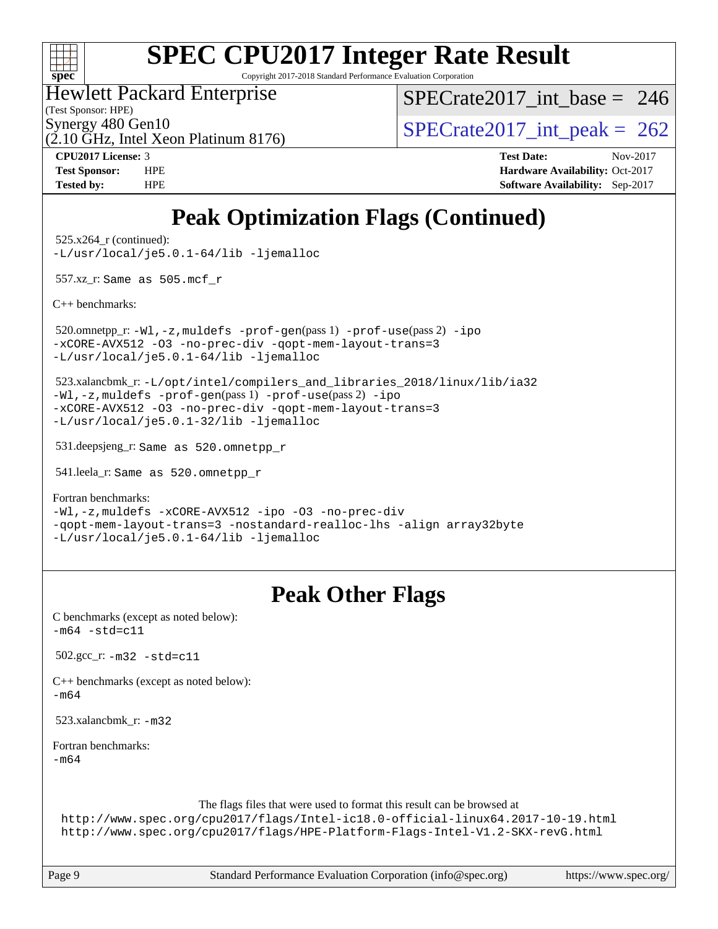

Copyright 2017-2018 Standard Performance Evaluation Corporation

Hewlett Packard Enterprise

(Test Sponsor: HPE)

 $SPECrate2017\_int\_base = 246$ 

(2.10 GHz, Intel Xeon Platinum 8176)

Synergy 480 Gen10<br>  $\binom{5}{10}$  [SPECrate2017\\_int\\_peak =](http://www.spec.org/auto/cpu2017/Docs/result-fields.html#SPECrate2017intpeak) 262

**[CPU2017 License:](http://www.spec.org/auto/cpu2017/Docs/result-fields.html#CPU2017License)** 3 **[Test Date:](http://www.spec.org/auto/cpu2017/Docs/result-fields.html#TestDate)** Nov-2017 **[Test Sponsor:](http://www.spec.org/auto/cpu2017/Docs/result-fields.html#TestSponsor)** HPE **[Hardware Availability:](http://www.spec.org/auto/cpu2017/Docs/result-fields.html#HardwareAvailability)** Oct-2017 **[Tested by:](http://www.spec.org/auto/cpu2017/Docs/result-fields.html#Testedby)** HPE **[Software Availability:](http://www.spec.org/auto/cpu2017/Docs/result-fields.html#SoftwareAvailability)** Sep-2017

## **[Peak Optimization Flags \(Continued\)](http://www.spec.org/auto/cpu2017/Docs/result-fields.html#PeakOptimizationFlags)**

 525.x264\_r (continued): [-L/usr/local/je5.0.1-64/lib](http://www.spec.org/cpu2017/results/res2017q4/cpu2017-20171128-01281.flags.html#user_peakEXTRA_LIBS525_x264_r_jemalloc_link_path64_4b10a636b7bce113509b17f3bd0d6226c5fb2346b9178c2d0232c14f04ab830f976640479e5c33dc2bcbbdad86ecfb6634cbbd4418746f06f368b512fced5394) [-ljemalloc](http://www.spec.org/cpu2017/results/res2017q4/cpu2017-20171128-01281.flags.html#user_peakEXTRA_LIBS525_x264_r_jemalloc_link_lib_d1249b907c500fa1c0672f44f562e3d0f79738ae9e3c4a9c376d49f265a04b9c99b167ecedbf6711b3085be911c67ff61f150a17b3472be731631ba4d0471706)

557.xz\_r: Same as 505.mcf\_r

[C++ benchmarks:](http://www.spec.org/auto/cpu2017/Docs/result-fields.html#CXXbenchmarks)

 520.omnetpp\_r: [-Wl,-z,muldefs](http://www.spec.org/cpu2017/results/res2017q4/cpu2017-20171128-01281.flags.html#user_peakEXTRA_LDFLAGS520_omnetpp_r_link_force_multiple1_b4cbdb97b34bdee9ceefcfe54f4c8ea74255f0b02a4b23e853cdb0e18eb4525ac79b5a88067c842dd0ee6996c24547a27a4b99331201badda8798ef8a743f577) [-prof-gen](http://www.spec.org/cpu2017/results/res2017q4/cpu2017-20171128-01281.flags.html#user_peakPASS1_CXXFLAGSPASS1_LDFLAGS520_omnetpp_r_prof_gen_5aa4926d6013ddb2a31985c654b3eb18169fc0c6952a63635c234f711e6e63dd76e94ad52365559451ec499a2cdb89e4dc58ba4c67ef54ca681ffbe1461d6b36)(pass 1) [-prof-use](http://www.spec.org/cpu2017/results/res2017q4/cpu2017-20171128-01281.flags.html#user_peakPASS2_CXXFLAGSPASS2_LDFLAGS520_omnetpp_r_prof_use_1a21ceae95f36a2b53c25747139a6c16ca95bd9def2a207b4f0849963b97e94f5260e30a0c64f4bb623698870e679ca08317ef8150905d41bd88c6f78df73f19)(pass 2) [-ipo](http://www.spec.org/cpu2017/results/res2017q4/cpu2017-20171128-01281.flags.html#user_peakPASS1_CXXOPTIMIZEPASS2_CXXOPTIMIZE520_omnetpp_r_f-ipo) [-xCORE-AVX512](http://www.spec.org/cpu2017/results/res2017q4/cpu2017-20171128-01281.flags.html#user_peakPASS2_CXXOPTIMIZE520_omnetpp_r_f-xCORE-AVX512) [-O3](http://www.spec.org/cpu2017/results/res2017q4/cpu2017-20171128-01281.flags.html#user_peakPASS1_CXXOPTIMIZEPASS2_CXXOPTIMIZE520_omnetpp_r_f-O3) [-no-prec-div](http://www.spec.org/cpu2017/results/res2017q4/cpu2017-20171128-01281.flags.html#user_peakPASS1_CXXOPTIMIZEPASS2_CXXOPTIMIZE520_omnetpp_r_f-no-prec-div) [-qopt-mem-layout-trans=3](http://www.spec.org/cpu2017/results/res2017q4/cpu2017-20171128-01281.flags.html#user_peakPASS1_CXXOPTIMIZEPASS2_CXXOPTIMIZE520_omnetpp_r_f-qopt-mem-layout-trans_de80db37974c74b1f0e20d883f0b675c88c3b01e9d123adea9b28688d64333345fb62bc4a798493513fdb68f60282f9a726aa07f478b2f7113531aecce732043) [-L/usr/local/je5.0.1-64/lib](http://www.spec.org/cpu2017/results/res2017q4/cpu2017-20171128-01281.flags.html#user_peakEXTRA_LIBS520_omnetpp_r_jemalloc_link_path64_4b10a636b7bce113509b17f3bd0d6226c5fb2346b9178c2d0232c14f04ab830f976640479e5c33dc2bcbbdad86ecfb6634cbbd4418746f06f368b512fced5394) [-ljemalloc](http://www.spec.org/cpu2017/results/res2017q4/cpu2017-20171128-01281.flags.html#user_peakEXTRA_LIBS520_omnetpp_r_jemalloc_link_lib_d1249b907c500fa1c0672f44f562e3d0f79738ae9e3c4a9c376d49f265a04b9c99b167ecedbf6711b3085be911c67ff61f150a17b3472be731631ba4d0471706)

 523.xalancbmk\_r: [-L/opt/intel/compilers\\_and\\_libraries\\_2018/linux/lib/ia32](http://www.spec.org/cpu2017/results/res2017q4/cpu2017-20171128-01281.flags.html#user_peakCXXLD523_xalancbmk_r_Enable-32bit-runtime_af243bdb1d79e4c7a4f720bf8275e627de2ecd461de63307bc14cef0633fde3cd7bb2facb32dcc8be9566045fb55d40ce2b72b725f73827aa7833441b71b9343) [-Wl,-z,muldefs](http://www.spec.org/cpu2017/results/res2017q4/cpu2017-20171128-01281.flags.html#user_peakEXTRA_LDFLAGS523_xalancbmk_r_link_force_multiple1_b4cbdb97b34bdee9ceefcfe54f4c8ea74255f0b02a4b23e853cdb0e18eb4525ac79b5a88067c842dd0ee6996c24547a27a4b99331201badda8798ef8a743f577) [-prof-gen](http://www.spec.org/cpu2017/results/res2017q4/cpu2017-20171128-01281.flags.html#user_peakPASS1_CXXFLAGSPASS1_LDFLAGS523_xalancbmk_r_prof_gen_5aa4926d6013ddb2a31985c654b3eb18169fc0c6952a63635c234f711e6e63dd76e94ad52365559451ec499a2cdb89e4dc58ba4c67ef54ca681ffbe1461d6b36)(pass 1) [-prof-use](http://www.spec.org/cpu2017/results/res2017q4/cpu2017-20171128-01281.flags.html#user_peakPASS2_CXXFLAGSPASS2_LDFLAGS523_xalancbmk_r_prof_use_1a21ceae95f36a2b53c25747139a6c16ca95bd9def2a207b4f0849963b97e94f5260e30a0c64f4bb623698870e679ca08317ef8150905d41bd88c6f78df73f19)(pass 2) [-ipo](http://www.spec.org/cpu2017/results/res2017q4/cpu2017-20171128-01281.flags.html#user_peakPASS1_CXXOPTIMIZEPASS2_CXXOPTIMIZE523_xalancbmk_r_f-ipo) [-xCORE-AVX512](http://www.spec.org/cpu2017/results/res2017q4/cpu2017-20171128-01281.flags.html#user_peakPASS2_CXXOPTIMIZE523_xalancbmk_r_f-xCORE-AVX512) [-O3](http://www.spec.org/cpu2017/results/res2017q4/cpu2017-20171128-01281.flags.html#user_peakPASS1_CXXOPTIMIZEPASS2_CXXOPTIMIZE523_xalancbmk_r_f-O3) [-no-prec-div](http://www.spec.org/cpu2017/results/res2017q4/cpu2017-20171128-01281.flags.html#user_peakPASS1_CXXOPTIMIZEPASS2_CXXOPTIMIZE523_xalancbmk_r_f-no-prec-div) [-qopt-mem-layout-trans=3](http://www.spec.org/cpu2017/results/res2017q4/cpu2017-20171128-01281.flags.html#user_peakPASS1_CXXOPTIMIZEPASS2_CXXOPTIMIZE523_xalancbmk_r_f-qopt-mem-layout-trans_de80db37974c74b1f0e20d883f0b675c88c3b01e9d123adea9b28688d64333345fb62bc4a798493513fdb68f60282f9a726aa07f478b2f7113531aecce732043) [-L/usr/local/je5.0.1-32/lib](http://www.spec.org/cpu2017/results/res2017q4/cpu2017-20171128-01281.flags.html#user_peakEXTRA_LIBS523_xalancbmk_r_jemalloc_link_path32_e29f22e8e6c17053bbc6a0971f5a9c01a601a06bb1a59df2084b77a2fe0a2995b64fd4256feaeea39eeba3aae142e96e2b2b0a28974019c0c0c88139a84f900a) [-ljemalloc](http://www.spec.org/cpu2017/results/res2017q4/cpu2017-20171128-01281.flags.html#user_peakEXTRA_LIBS523_xalancbmk_r_jemalloc_link_lib_d1249b907c500fa1c0672f44f562e3d0f79738ae9e3c4a9c376d49f265a04b9c99b167ecedbf6711b3085be911c67ff61f150a17b3472be731631ba4d0471706)

531.deepsjeng\_r: Same as 520.omnetpp\_r

541.leela\_r: Same as 520.omnetpp\_r

[Fortran benchmarks](http://www.spec.org/auto/cpu2017/Docs/result-fields.html#Fortranbenchmarks):

[-Wl,-z,muldefs](http://www.spec.org/cpu2017/results/res2017q4/cpu2017-20171128-01281.flags.html#user_FCpeak_link_force_multiple1_b4cbdb97b34bdee9ceefcfe54f4c8ea74255f0b02a4b23e853cdb0e18eb4525ac79b5a88067c842dd0ee6996c24547a27a4b99331201badda8798ef8a743f577) [-xCORE-AVX512](http://www.spec.org/cpu2017/results/res2017q4/cpu2017-20171128-01281.flags.html#user_FCpeak_f-xCORE-AVX512) [-ipo](http://www.spec.org/cpu2017/results/res2017q4/cpu2017-20171128-01281.flags.html#user_FCpeak_f-ipo) [-O3](http://www.spec.org/cpu2017/results/res2017q4/cpu2017-20171128-01281.flags.html#user_FCpeak_f-O3) [-no-prec-div](http://www.spec.org/cpu2017/results/res2017q4/cpu2017-20171128-01281.flags.html#user_FCpeak_f-no-prec-div) [-qopt-mem-layout-trans=3](http://www.spec.org/cpu2017/results/res2017q4/cpu2017-20171128-01281.flags.html#user_FCpeak_f-qopt-mem-layout-trans_de80db37974c74b1f0e20d883f0b675c88c3b01e9d123adea9b28688d64333345fb62bc4a798493513fdb68f60282f9a726aa07f478b2f7113531aecce732043) [-nostandard-realloc-lhs](http://www.spec.org/cpu2017/results/res2017q4/cpu2017-20171128-01281.flags.html#user_FCpeak_f_2003_std_realloc_82b4557e90729c0f113870c07e44d33d6f5a304b4f63d4c15d2d0f1fab99f5daaed73bdb9275d9ae411527f28b936061aa8b9c8f2d63842963b95c9dd6426b8a) [-align array32byte](http://www.spec.org/cpu2017/results/res2017q4/cpu2017-20171128-01281.flags.html#user_FCpeak_align_array32byte_b982fe038af199962ba9a80c053b8342c548c85b40b8e86eb3cc33dee0d7986a4af373ac2d51c3f7cf710a18d62fdce2948f201cd044323541f22fc0fffc51b6) [-L/usr/local/je5.0.1-64/lib](http://www.spec.org/cpu2017/results/res2017q4/cpu2017-20171128-01281.flags.html#user_FCpeak_jemalloc_link_path64_4b10a636b7bce113509b17f3bd0d6226c5fb2346b9178c2d0232c14f04ab830f976640479e5c33dc2bcbbdad86ecfb6634cbbd4418746f06f368b512fced5394) [-ljemalloc](http://www.spec.org/cpu2017/results/res2017q4/cpu2017-20171128-01281.flags.html#user_FCpeak_jemalloc_link_lib_d1249b907c500fa1c0672f44f562e3d0f79738ae9e3c4a9c376d49f265a04b9c99b167ecedbf6711b3085be911c67ff61f150a17b3472be731631ba4d0471706)

### **[Peak Other Flags](http://www.spec.org/auto/cpu2017/Docs/result-fields.html#PeakOtherFlags)**

| C benchmarks (except as noted below):<br>$-m64 - std = c11$                                                                                                                                                                                |
|--------------------------------------------------------------------------------------------------------------------------------------------------------------------------------------------------------------------------------------------|
| 502.gcc $r: -m32 - std = c11$                                                                                                                                                                                                              |
| $C++$ benchmarks (except as noted below):<br>$-m64$                                                                                                                                                                                        |
| 523.xalancbmk $r: -m32$                                                                                                                                                                                                                    |
| Fortran benchmarks:<br>$-m64$                                                                                                                                                                                                              |
| The flags files that were used to format this result can be browsed at<br>http://www.spec.org/cpu2017/flags/Intel-ic18.0-official-linux64.2017-10-19.html<br>http://www.spec.org/cpu2017/flags/HPE-Platform-Flags-Intel-V1.2-SKX-revG.html |